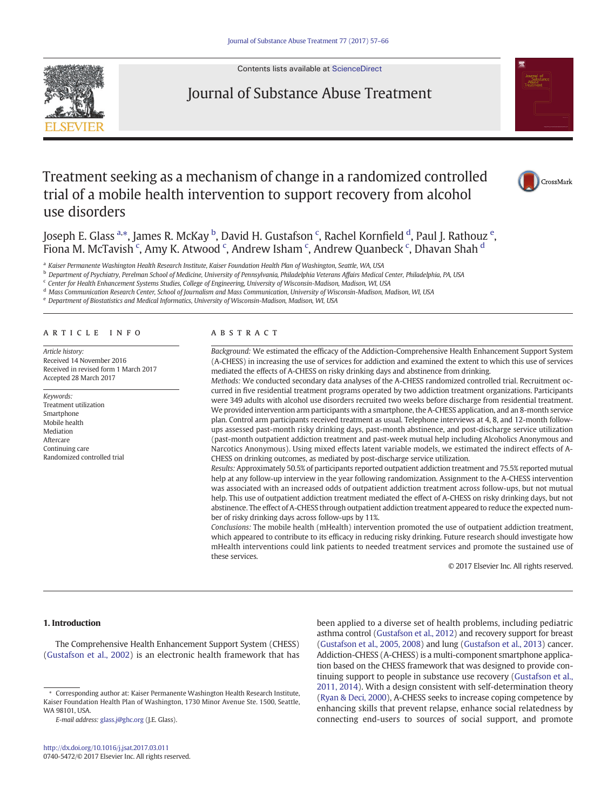Contents lists available at [ScienceDirect](http://www.sciencedirect.com/science/journal/07405472)



# Journal of Substance Abuse Treatment



# Treatment seeking as a mechanism of change in a randomized controlled trial of a mobile health intervention to support recovery from alcohol use disorders



Joseph E. Glass <sup>a,\*</sup>, James R. McKay <sup>b</sup>, David H. Gustafson <sup>c</sup>, Rachel Kornfield <sup>d</sup>, Paul J. Rathouz <sup>e</sup>, Fiona M. McTavish  $\lq$ , Amy K. Atwood  $\lq$ , Andrew Isham  $\lq$ , Andrew Quanbeck  $\lq$ , Dhavan Shah  $\rm ^d$ 

a Kaiser Permanente Washington Health Research Institute, Kaiser Foundation Health Plan of Washington, Seattle, WA, USA

<sup>b</sup> Department of Psychiatry, Perelman School of Medicine, University of Pennsylvania, Philadelphia Veterans Affairs Medical Center, Philadelphia, PA, USA

<sup>c</sup> Center for Health Enhancement Systems Studies, College of Engineering, University of Wisconsin-Madison, Madison, WI, USA

<sup>d</sup> Mass Communication Research Center, School of Journalism and Mass Communication, University of Wisconsin-Madison, Madison, WI, USA

<sup>e</sup> Department of Biostatistics and Medical Informatics, University of Wisconsin-Madison, Madison, WI, USA

# article info abstract

Article history: Received 14 November 2016 Received in revised form 1 March 2017 Accepted 28 March 2017

Keywords: Treatment utilization Smartphone Mobile health Mediation Aftercare Continuing care Randomized controlled trial

Background: We estimated the efficacy of the Addiction-Comprehensive Health Enhancement Support System (A-CHESS) in increasing the use of services for addiction and examined the extent to which this use of services mediated the effects of A-CHESS on risky drinking days and abstinence from drinking.

Methods: We conducted secondary data analyses of the A-CHESS randomized controlled trial. Recruitment occurred in five residential treatment programs operated by two addiction treatment organizations. Participants were 349 adults with alcohol use disorders recruited two weeks before discharge from residential treatment. We provided intervention arm participants with a smartphone, the A-CHESS application, and an 8-month service plan. Control arm participants received treatment as usual. Telephone interviews at 4, 8, and 12-month followups assessed past-month risky drinking days, past-month abstinence, and post-discharge service utilization (past-month outpatient addiction treatment and past-week mutual help including Alcoholics Anonymous and Narcotics Anonymous). Using mixed effects latent variable models, we estimated the indirect effects of A-CHESS on drinking outcomes, as mediated by post-discharge service utilization.

Results: Approximately 50.5% of participants reported outpatient addiction treatment and 75.5% reported mutual help at any follow-up interview in the year following randomization. Assignment to the A-CHESS intervention was associated with an increased odds of outpatient addiction treatment across follow-ups, but not mutual help. This use of outpatient addiction treatment mediated the effect of A-CHESS on risky drinking days, but not abstinence. The effect of A-CHESS through outpatient addiction treatment appeared to reduce the expected number of risky drinking days across follow-ups by 11%.

Conclusions: The mobile health (mHealth) intervention promoted the use of outpatient addiction treatment, which appeared to contribute to its efficacy in reducing risky drinking. Future research should investigate how mHealth interventions could link patients to needed treatment services and promote the sustained use of these services.

© 2017 Elsevier Inc. All rights reserved.

# 1. Introduction

The Comprehensive Health Enhancement Support System (CHESS) [\(Gustafson et al., 2002](#page-9-0)) is an electronic health framework that has been applied to a diverse set of health problems, including pediatric asthma control [\(Gustafson et al., 2012\)](#page-9-0) and recovery support for breast [\(Gustafson et al., 2005, 2008](#page-9-0)) and lung ([Gustafson et al., 2013\)](#page-9-0) cancer. Addiction-CHESS (A-CHESS) is a multi-component smartphone application based on the CHESS framework that was designed to provide continuing support to people in substance use recovery [\(Gustafson et al.,](#page-9-0) [2011, 2014\)](#page-9-0). With a design consistent with self-determination theory [\(Ryan & Deci, 2000\)](#page-9-0), A-CHESS seeks to increase coping competence by enhancing skills that prevent relapse, enhance social relatedness by connecting end-users to sources of social support, and promote

<sup>⁎</sup> Corresponding author at: Kaiser Permanente Washington Health Research Institute, Kaiser Foundation Health Plan of Washington, 1730 Minor Avenue Ste. 1500, Seattle, WA 98101, USA.

E-mail address: [glass.j@ghc.org](mailto:glass.j@ghc.org) (J.E. Glass).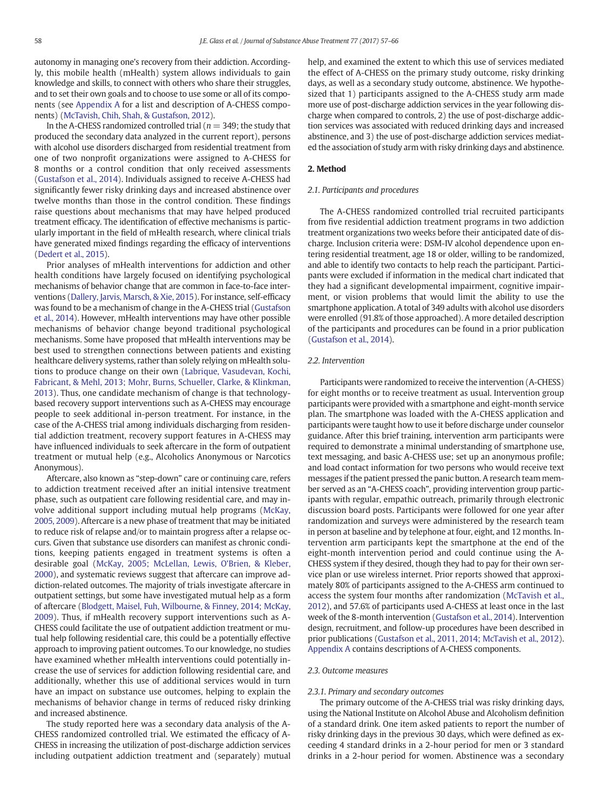autonomy in managing one's recovery from their addiction. Accordingly, this mobile health (mHealth) system allows individuals to gain knowledge and skills, to connect with others who share their struggles, and to set their own goals and to choose to use some or all of its components (see [Appendix A](#page-6-0) for a list and description of A-CHESS components) [\(McTavish, Chih, Shah, & Gustafson, 2012\)](#page-9-0).

In the A-CHESS randomized controlled trial ( $n = 349$ ; the study that produced the secondary data analyzed in the current report), persons with alcohol use disorders discharged from residential treatment from one of two nonprofit organizations were assigned to A-CHESS for 8 months or a control condition that only received assessments [\(Gustafson et al., 2014](#page-9-0)). Individuals assigned to receive A-CHESS had significantly fewer risky drinking days and increased abstinence over twelve months than those in the control condition. These findings raise questions about mechanisms that may have helped produced treatment efficacy. The identification of effective mechanisms is particularly important in the field of mHealth research, where clinical trials have generated mixed findings regarding the efficacy of interventions [\(Dedert et al., 2015](#page-9-0)).

Prior analyses of mHealth interventions for addiction and other health conditions have largely focused on identifying psychological mechanisms of behavior change that are common in face-to-face interventions [\(Dallery, Jarvis, Marsch, & Xie, 2015\)](#page-9-0). For instance, self-efficacy was found to be a mechanism of change in the A-CHESS trial ([Gustafson](#page-9-0) [et al., 2014](#page-9-0)). However, mHealth interventions may have other possible mechanisms of behavior change beyond traditional psychological mechanisms. Some have proposed that mHealth interventions may be best used to strengthen connections between patients and existing healthcare delivery systems, rather than solely relying on mHealth solutions to produce change on their own [\(Labrique, Vasudevan, Kochi,](#page-9-0) [Fabricant, & Mehl, 2013; Mohr, Burns, Schueller, Clarke, & Klinkman,](#page-9-0) [2013\)](#page-9-0). Thus, one candidate mechanism of change is that technologybased recovery support interventions such as A-CHESS may encourage people to seek additional in-person treatment. For instance, in the case of the A-CHESS trial among individuals discharging from residential addiction treatment, recovery support features in A-CHESS may have influenced individuals to seek aftercare in the form of outpatient treatment or mutual help (e.g., Alcoholics Anonymous or Narcotics Anonymous).

Aftercare, also known as "step-down" care or continuing care, refers to addiction treatment received after an initial intensive treatment phase, such as outpatient care following residential care, and may involve additional support including mutual help programs ([McKay,](#page-9-0) [2005, 2009\)](#page-9-0). Aftercare is a new phase of treatment that may be initiated to reduce risk of relapse and/or to maintain progress after a relapse occurs. Given that substance use disorders can manifest as chronic conditions, keeping patients engaged in treatment systems is often a desirable goal [\(McKay, 2005; McLellan, Lewis, O'Brien, & Kleber,](#page-9-0) [2000\)](#page-9-0), and systematic reviews suggest that aftercare can improve addiction-related outcomes. The majority of trials investigate aftercare in outpatient settings, but some have investigated mutual help as a form of aftercare ([Blodgett, Maisel, Fuh, Wilbourne, & Finney, 2014; McKay,](#page-9-0) [2009](#page-9-0)). Thus, if mHealth recovery support interventions such as A-CHESS could facilitate the use of outpatient addiction treatment or mutual help following residential care, this could be a potentially effective approach to improving patient outcomes. To our knowledge, no studies have examined whether mHealth interventions could potentially increase the use of services for addiction following residential care, and additionally, whether this use of additional services would in turn have an impact on substance use outcomes, helping to explain the mechanisms of behavior change in terms of reduced risky drinking and increased abstinence.

The study reported here was a secondary data analysis of the A-CHESS randomized controlled trial. We estimated the efficacy of A-CHESS in increasing the utilization of post-discharge addiction services including outpatient addiction treatment and (separately) mutual help, and examined the extent to which this use of services mediated the effect of A-CHESS on the primary study outcome, risky drinking days, as well as a secondary study outcome, abstinence. We hypothesized that 1) participants assigned to the A-CHESS study arm made more use of post-discharge addiction services in the year following discharge when compared to controls, 2) the use of post-discharge addiction services was associated with reduced drinking days and increased abstinence, and 3) the use of post-discharge addiction services mediated the association of study arm with risky drinking days and abstinence.

#### 2. Method

# 2.1. Participants and procedures

The A-CHESS randomized controlled trial recruited participants from five residential addiction treatment programs in two addiction treatment organizations two weeks before their anticipated date of discharge. Inclusion criteria were: DSM-IV alcohol dependence upon entering residential treatment, age 18 or older, willing to be randomized, and able to identify two contacts to help reach the participant. Participants were excluded if information in the medical chart indicated that they had a significant developmental impairment, cognitive impairment, or vision problems that would limit the ability to use the smartphone application. A total of 349 adults with alcohol use disorders were enrolled (91.8% of those approached). A more detailed description of the participants and procedures can be found in a prior publication [\(Gustafson et al., 2014](#page-9-0)).

# 2.2. Intervention

Participants were randomized to receive the intervention (A-CHESS) for eight months or to receive treatment as usual. Intervention group participants were provided with a smartphone and eight-month service plan. The smartphone was loaded with the A-CHESS application and participants were taught how to use it before discharge under counselor guidance. After this brief training, intervention arm participants were required to demonstrate a minimal understanding of smartphone use, text messaging, and basic A-CHESS use; set up an anonymous profile; and load contact information for two persons who would receive text messages if the patient pressed the panic button. A research team member served as an "A-CHESS coach", providing intervention group participants with regular, empathic outreach, primarily through electronic discussion board posts. Participants were followed for one year after randomization and surveys were administered by the research team in person at baseline and by telephone at four, eight, and 12 months. Intervention arm participants kept the smartphone at the end of the eight-month intervention period and could continue using the A-CHESS system if they desired, though they had to pay for their own service plan or use wireless internet. Prior reports showed that approximately 80% of participants assigned to the A-CHESS arm continued to access the system four months after randomization [\(McTavish et al.,](#page-9-0) [2012\)](#page-9-0), and 57.6% of participants used A-CHESS at least once in the last week of the 8-month intervention ([Gustafson et al., 2014\)](#page-9-0). Intervention design, recruitment, and follow-up procedures have been described in prior publications [\(Gustafson et al., 2011, 2014; McTavish et al., 2012\)](#page-9-0). [Appendix A](#page-6-0) contains descriptions of A-CHESS components.

#### 2.3. Outcome measures

#### 2.3.1. Primary and secondary outcomes

The primary outcome of the A-CHESS trial was risky drinking days, using the National Institute on Alcohol Abuse and Alcoholism definition of a standard drink. One item asked patients to report the number of risky drinking days in the previous 30 days, which were defined as exceeding 4 standard drinks in a 2-hour period for men or 3 standard drinks in a 2-hour period for women. Abstinence was a secondary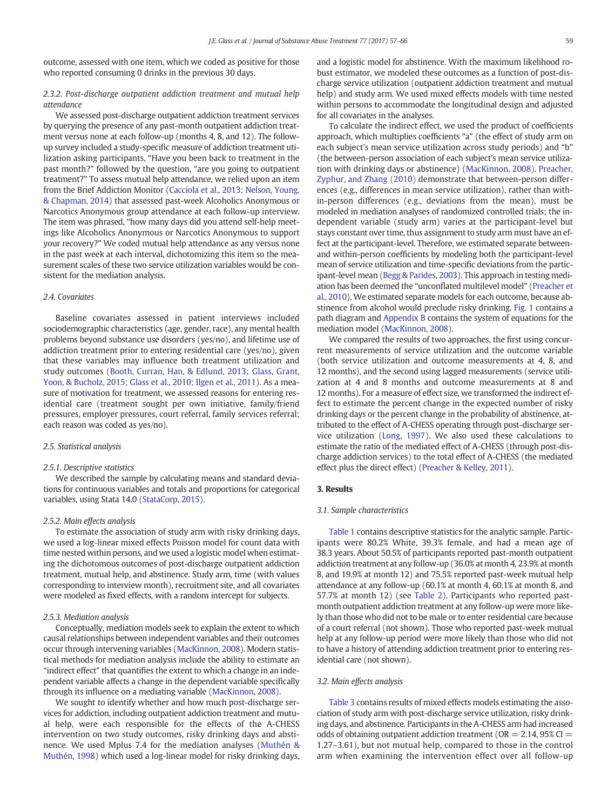outcome, assessed with one item, which we coded as positive for those who reported consuming 0 drinks in the previous 30 days.

# 2.3.2. Post-discharge outpatient addiction treatment and mutual help attendance

We assessed post-discharge outpatient addiction treatment services by querying the presence of any past-month outpatient addiction treatment versus none at each follow-up (months 4, 8, and 12). The followup survey included a study-specific measure of addiction treatment utilization asking participants, "Have you been back to treatment in the past month?" followed by the question, "are you going to outpatient treatment?" To assess mutual help attendance, we relied upon an item from the Brief Addiction Monitor ([Cacciola et al., 2013; Nelson, Young,](#page-9-0) [& Chapman, 2014\)](#page-9-0) that assessed past-week Alcoholics Anonymous or Narcotics Anonymous group attendance at each follow-up interview. The item was phrased, "how many days did you attend self-help meetings like Alcoholics Anonymous or Narcotics Anonymous to support your recovery?" We coded mutual help attendance as any versus none in the past week at each interval, dichotomizing this item so the measurement scales of these two service utilization variables would be consistent for the mediation analysis.

# 2.4. Covariates

Baseline covariates assessed in patient interviews included sociodemographic characteristics (age, gender, race), any mental health problems beyond substance use disorders (yes/no), and lifetime use of addiction treatment prior to entering residential care (yes/no), given that these variables may influence both treatment utilization and study outcomes ([Booth, Curran, Han, & Edlund, 2013; Glass, Grant,](#page-9-0) [Yoon, & Bucholz, 2015; Glass et al., 2010; Ilgen et al., 2011\)](#page-9-0). As a measure of motivation for treatment, we assessed reasons for entering residential care (treatment sought per own initiative, family/friend pressures, employer pressures, court referral, family services referral; each reason was coded as yes/no).

# 2.5. Statistical analysis

# 2.5.1. Descriptive statistics

We described the sample by calculating means and standard deviations for continuous variables and totals and proportions for categorical variables, using Stata 14.0 ([StataCorp, 2015\)](#page-9-0).

# 2.5.2. Main effects analysis

To estimate the association of study arm with risky drinking days, we used a log-linear mixed effects Poisson model for count data with time nested within persons, and we used a logistic model when estimating the dichotomous outcomes of post-discharge outpatient addiction treatment, mutual help, and abstinence. Study arm, time (with values corresponding to interview month), recruitment site, and all covariates were modeled as fixed effects, with a random intercept for subjects.

#### 2.5.3. Mediation analysis

Conceptually, mediation models seek to explain the extent to which causal relationships between independent variables and their outcomes occur through intervening variables [\(MacKinnon, 2008](#page-9-0)). Modern statistical methods for mediation analysis include the ability to estimate an "indirect effect" that quantifies the extent to which a change in an independent variable affects a change in the dependent variable specifically through its influence on a mediating variable ([MacKinnon, 2008](#page-9-0)).

We sought to identify whether and how much post-discharge services for addiction, including outpatient addiction treatment and mutual help, were each responsible for the effects of the A-CHESS intervention on two study outcomes, risky drinking days and abstinence. We used Mplus 7.4 for the mediation analyses ([Muthén &](#page-9-0) [Muthén, 1998](#page-9-0)) which used a log-linear model for risky drinking days, and a logistic model for abstinence. With the maximum likelihood robust estimator, we modeled these outcomes as a function of post-discharge service utilization (outpatient addiction treatment and mutual help) and study arm. We used mixed effects models with time nested within persons to accommodate the longitudinal design and adjusted for all covariates in the analyses.

To calculate the indirect effect, we used the product of coefficients approach, which multiplies coefficients "a" (the effect of study arm on each subject's mean service utilization across study periods) and "b" (the between-person association of each subject's mean service utilization with drinking days or abstinence) ([MacKinnon, 2008](#page-9-0)). [Preacher,](#page-9-0) [Zyphur, and Zhang \(2010\)](#page-9-0) demonstrate that between-person differences (e.g., differences in mean service utilization), rather than within-person differences (e.g., deviations from the mean), must be modeled in mediation analyses of randomized controlled trials; the independent variable (study arm) varies at the participant-level but stays constant over time, thus assignment to study arm must have an effect at the participant-level. Therefore, we estimated separate betweenand within-person coefficients by modeling both the participant-level mean of service utilization and time-specific deviations from the participant-level mean [\(Begg & Parides, 2003](#page-9-0)). This approach in testing mediation has been deemed the "unconflated multilevel model" [\(Preacher et](#page-9-0) [al., 2010\)](#page-9-0). We estimated separate models for each outcome, because abstinence from alcohol would preclude risky drinking. [Fig. 1](#page-3-0) contains a path diagram and [Appendix B](#page-7-0) contains the system of equations for the mediation model ([MacKinnon, 2008](#page-9-0)).

We compared the results of two approaches, the first using concurrent measurements of service utilization and the outcome variable (both service utilization and outcome measurements at 4, 8, and 12 months), and the second using lagged measurements (service utilization at 4 and 8 months and outcome measurements at 8 and 12 months). For a measure of effect size, we transformed the indirect effect to estimate the percent change in the expected number of risky drinking days or the percent change in the probability of abstinence, attributed to the effect of A-CHESS operating through post-discharge service utilization ([Long, 1997\)](#page-9-0). We also used these calculations to estimate the ratio of the mediated effect of A-CHESS (through post-discharge addiction services) to the total effect of A-CHESS (the mediated effect plus the direct effect) ([Preacher & Kelley, 2011\)](#page-9-0).

# 3. Results

### 3.1. Sample characteristics

[Table 1](#page-3-0) contains descriptive statistics for the analytic sample. Participants were 80.2% White, 39.3% female, and had a mean age of 38.3 years. About 50.5% of participants reported past-month outpatient addiction treatment at any follow-up (36.0% at month 4, 23.9% at month 8, and 19.9% at month 12) and 75.5% reported past-week mutual help attendance at any follow-up (60.1% at month 4, 60.1% at month 8, and 57.7% at month 12) (see [Table 2\)](#page-4-0). Participants who reported pastmonth outpatient addiction treatment at any follow-up were more likely than those who did not to be male or to enter residential care because of a court referral (not shown). Those who reported past-week mutual help at any follow-up period were more likely than those who did not to have a history of attending addiction treatment prior to entering residential care (not shown).

# 3.2. Main effects analysis

[Table 3](#page-4-0) contains results of mixed effects models estimating the association of study arm with post-discharge service utilization, risky drinking days, and abstinence. Participants in the A-CHESS arm had increased odds of obtaining outpatient addiction treatment ( $OR = 2.14$ ,  $95\%$  CI = 1.27–3.61), but not mutual help, compared to those in the control arm when examining the intervention effect over all follow-up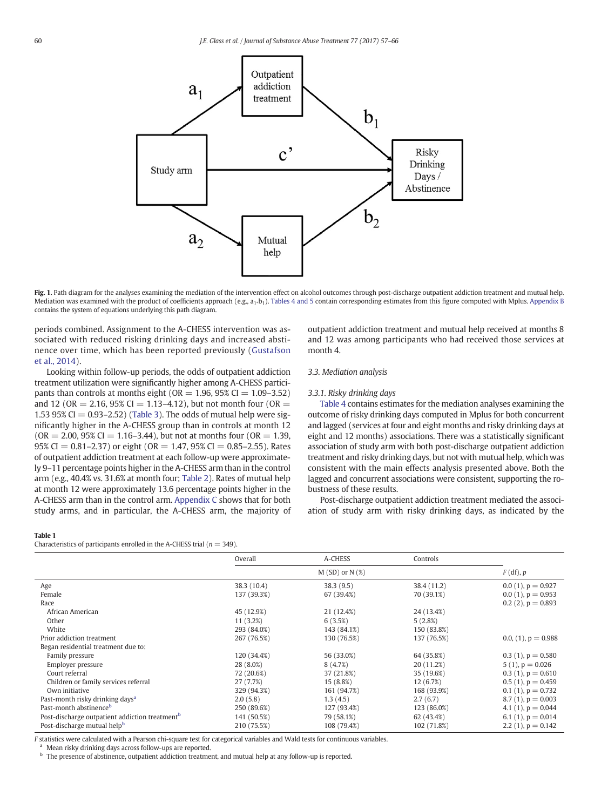<span id="page-3-0"></span>

Fig. 1. Path diagram for the analyses examining the mediation of the intervention effect on alcohol outcomes through post-discharge outpatient addiction treatment and mutual help. Mediation was examined with the product of coefficients approach (e.g., a<sub>1</sub>,b<sub>1</sub>). [Tables 4 and 5](#page-5-0) contain corresponding estimates from this figure computed with Mplus. [Appendix B](#page-7-0) contains the system of equations underlying this path diagram.

periods combined. Assignment to the A-CHESS intervention was associated with reduced risking drinking days and increased abstinence over time, which has been reported previously ([Gustafson](#page-9-0) [et al., 2014](#page-9-0)).

Looking within follow-up periods, the odds of outpatient addiction treatment utilization were significantly higher among A-CHESS participants than controls at months eight ( $OR = 1.96$ ,  $95\% CI = 1.09 - 3.52$ ) and 12 (OR = 2.16, 95% CI = 1.13–4.12), but not month four (OR = 1.53 95% CI =  $0.93-2.52$ ) ([Table 3](#page-4-0)). The odds of mutual help were significantly higher in the A-CHESS group than in controls at month 12  $(OR = 2.00, 95\% CI = 1.16-3.44)$ , but not at months four  $(OR = 1.39, 1.39)$ 95% CI = 0.81-2.37) or eight (OR = 1.47, 95% CI = 0.85-2.55). Rates of outpatient addiction treatment at each follow-up were approximately 9–11 percentage points higher in the A-CHESS arm than in the control arm (e.g., 40.4% vs. 31.6% at month four; [Table 2](#page-4-0)). Rates of mutual help at month 12 were approximately 13.6 percentage points higher in the A-CHESS arm than in the control arm. [Appendix C](#page-7-0) shows that for both study arms, and in particular, the A-CHESS arm, the majority of

# outpatient addiction treatment and mutual help received at months 8 and 12 was among participants who had received those services at month 4.

# 3.3. Mediation analysis

#### 3.3.1. Risky drinking days

[Table 4](#page-5-0) contains estimates for the mediation analyses examining the outcome of risky drinking days computed in Mplus for both concurrent and lagged (services at four and eight months and risky drinking days at eight and 12 months) associations. There was a statistically significant association of study arm with both post-discharge outpatient addiction treatment and risky drinking days, but not with mutual help, which was consistent with the main effects analysis presented above. Both the lagged and concurrent associations were consistent, supporting the robustness of these results.

Post-discharge outpatient addiction treatment mediated the association of study arm with risky drinking days, as indicated by the

#### Table 1

Characteristics of participants enrolled in the A-CHESS trial ( $n = 349$ ).

|                                                            | Overall     | A-CHESS            | Controls    |                        |
|------------------------------------------------------------|-------------|--------------------|-------------|------------------------|
|                                                            |             | $M(SD)$ or $N(\%)$ |             | $F$ (df), $p$          |
| Age                                                        | 38.3 (10.4) | 38.3(9.5)          | 38.4 (11.2) | $0.0(1)$ , $p = 0.927$ |
| Female                                                     | 137 (39.3%) | 67 (39.4%)         | 70 (39.1%)  | $0.0(1)$ , $p = 0.953$ |
| Race                                                       |             |                    |             | $0.2(2)$ , $p = 0.893$ |
| African American                                           | 45 (12.9%)  | 21 (12.4%)         | 24 (13.4%)  |                        |
| Other                                                      | 11 (3.2%)   | 6(3.5%)            | 5(2.8%)     |                        |
| White                                                      | 293 (84.0%) | 143 (84.1%)        | 150 (83.8%) |                        |
| Prior addiction treatment                                  | 267 (76.5%) | 130 (76.5%)        | 137 (76.5%) | 0.0, (1), $p = 0.988$  |
| Began residential treatment due to:                        |             |                    |             |                        |
| Family pressure                                            | 120 (34.4%) | 56 (33.0%)         | 64 (35.8%)  | $0.3(1)$ , $p = 0.580$ |
| Employer pressure                                          | 28 (8.0%)   | 8(4.7%)            | 20 (11.2%)  | $5(1)$ , $p = 0.026$   |
| Court referral                                             | 72 (20.6%)  | 37 (21.8%)         | 35 (19.6%)  | $0.3(1)$ , $p = 0.610$ |
| Children or family services referral                       | 27 (7.7%)   | 15 (8.8%)          | 12(6.7%)    | $0.5(1)$ , $p = 0.459$ |
| Own initiative                                             | 329 (94.3%) | 161 (94.7%)        | 168 (93.9%) | $0.1(1)$ , $p = 0.732$ |
| Past-month risky drinking days <sup>a</sup>                | 2.0(5.8)    | 1.3(4.5)           | 2.7(6.7)    | $8.7(1)$ , $p = 0.003$ |
| Past-month abstinence <sup>b</sup>                         | 250 (89.6%) | 127 (93.4%)        | 123 (86.0%) | 4.1 (1), $p = 0.044$   |
| Post-discharge outpatient addiction treatment <sup>b</sup> | 141 (50.5%) | 79 (58.1%)         | 62 (43.4%)  | 6.1 (1), $p = 0.014$   |
| Post-discharge mutual help <sup>b</sup>                    | 210 (75.5%) | 108 (79.4%)        | 102 (71.8%) | 2.2 (1), $p = 0.142$   |

F statistics were calculated with a Pearson chi-square test for categorical variables and Wald tests for continuous variables.

a Mean risky drinking days across follow-ups are reported.

**b** The presence of abstinence, outpatient addiction treatment, and mutual help at any follow-up is reported.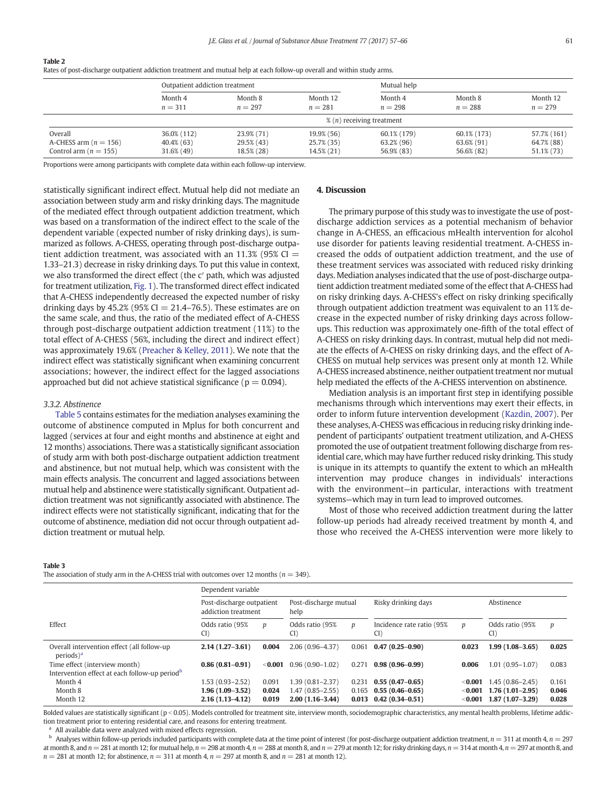<span id="page-4-0"></span>Table 2

Rates of post-discharge outpatient addiction treatment and mutual help at each follow-up overall and within study arms.

|                           | Outpatient addiction treatment |                                                |            | Mutual help |             |               |  |  |
|---------------------------|--------------------------------|------------------------------------------------|------------|-------------|-------------|---------------|--|--|
|                           | Month 4                        | Month 8                                        | Month 12   | Month 4     | Month 8     | Month 12      |  |  |
|                           | $n = 311$                      | $n = 297$                                      | $n = 281$  | $n = 298$   | $n = 288$   | $n = 279$     |  |  |
|                           |                                | $\frac{9}{2}$ ( <i>n</i> ) receiving treatment |            |             |             |               |  |  |
| Overall                   | 36.0% (112)                    | 23.9% (71)                                     | 19.9% (56) | 60.1% (179) | 60.1% (173) | 57.7% (161)   |  |  |
| A-CHESS arm $(n = 156)$   | 40.4% (63)                     | 29.5% (43)                                     | 25.7% (35) | 63.2% (96)  | 63.6% (91)  | 64.7% (88)    |  |  |
| Control arm ( $n = 155$ ) | 31.6% (49)                     | 18.5% (28)                                     | 14.5% (21) | 56.9% (83)  | 56.6% (82)  | $51.1\%$ (73) |  |  |

Proportions were among participants with complete data within each follow-up interview.

statistically significant indirect effect. Mutual help did not mediate an association between study arm and risky drinking days. The magnitude of the mediated effect through outpatient addiction treatment, which was based on a transformation of the indirect effect to the scale of the dependent variable (expected number of risky drinking days), is summarized as follows. A-CHESS, operating through post-discharge outpatient addiction treatment, was associated with an  $11.3\%$  (95% CI = 1.33–21.3) decrease in risky drinking days. To put this value in context, we also transformed the direct effect (the c′ path, which was adjusted for treatment utilization, [Fig. 1\)](#page-3-0). The transformed direct effect indicated that A-CHESS independently decreased the expected number of risky drinking days by 45.2% (95% CI  $= 21.4$ –76.5). These estimates are on the same scale, and thus, the ratio of the mediated effect of A-CHESS through post-discharge outpatient addiction treatment (11%) to the total effect of A-CHESS (56%, including the direct and indirect effect) was approximately 19.6% [\(Preacher & Kelley, 2011\)](#page-9-0). We note that the indirect effect was statistically significant when examining concurrent associations; however, the indirect effect for the lagged associations approached but did not achieve statistical significance ( $p = 0.094$ ).

#### 3.3.2. Abstinence

[Table 5](#page-5-0) contains estimates for the mediation analyses examining the outcome of abstinence computed in Mplus for both concurrent and lagged (services at four and eight months and abstinence at eight and 12 months) associations. There was a statistically significant association of study arm with both post-discharge outpatient addiction treatment and abstinence, but not mutual help, which was consistent with the main effects analysis. The concurrent and lagged associations between mutual help and abstinence were statistically significant. Outpatient addiction treatment was not significantly associated with abstinence. The indirect effects were not statistically significant, indicating that for the outcome of abstinence, mediation did not occur through outpatient addiction treatment or mutual help.

# 4. Discussion

The primary purpose of this study was to investigate the use of postdischarge addiction services as a potential mechanism of behavior change in A-CHESS, an efficacious mHealth intervention for alcohol use disorder for patients leaving residential treatment. A-CHESS increased the odds of outpatient addiction treatment, and the use of these treatment services was associated with reduced risky drinking days. Mediation analyses indicated that the use of post-discharge outpatient addiction treatment mediated some of the effect that A-CHESS had on risky drinking days. A-CHESS's effect on risky drinking specifically through outpatient addiction treatment was equivalent to an 11% decrease in the expected number of risky drinking days across followups. This reduction was approximately one-fifth of the total effect of A-CHESS on risky drinking days. In contrast, mutual help did not mediate the effects of A-CHESS on risky drinking days, and the effect of A-CHESS on mutual help services was present only at month 12. While A-CHESS increased abstinence, neither outpatient treatment nor mutual help mediated the effects of the A-CHESS intervention on abstinence.

Mediation analysis is an important first step in identifying possible mechanisms through which interventions may exert their effects, in order to inform future intervention development ([Kazdin, 2007](#page-9-0)). Per these analyses, A-CHESS was efficacious in reducing risky drinking independent of participants' outpatient treatment utilization, and A-CHESS promoted the use of outpatient treatment following discharge from residential care, which may have further reduced risky drinking. This study is unique in its attempts to quantify the extent to which an mHealth intervention may produce changes in individuals' interactions with the environment—in particular, interactions with treatment systems—which may in turn lead to improved outcomes.

Most of those who received addiction treatment during the latter follow-up periods had already received treatment by month 4, and those who received the A-CHESS intervention were more likely to

#### Table 3

The association of study arm in the A-CHESS trial with outcomes over 12 months ( $n = 349$ ).

|                                                                                            | Dependent variable                               |                |                                          |                  |                                            |                      |                                        |                |  |
|--------------------------------------------------------------------------------------------|--------------------------------------------------|----------------|------------------------------------------|------------------|--------------------------------------------|----------------------|----------------------------------------|----------------|--|
|                                                                                            | Post-discharge outpatient<br>addiction treatment |                | Post-discharge mutual<br>help            |                  | Risky drinking days                        |                      | Abstinence                             |                |  |
| Effect                                                                                     | Odds ratio (95%<br>CI                            | p              | Odds ratio (95%<br>CI)                   | $\boldsymbol{p}$ | Incidence rate ratio (95%<br>CI)           | p                    | Odds ratio (95%<br>CI                  | p              |  |
| Overall intervention effect (all follow-up<br>$periods)^a$                                 | $2.14(1.27-3.61)$                                | 0.004          | $2.06(0.96 - 4.37)$                      | 0.061            | $0.47(0.25 - 0.90)$                        | 0.023                | $1.99(1.08 - 3.65)$                    | 0.025          |  |
| Time effect (interview month)<br>Intervention effect at each follow-up period <sup>b</sup> | $0.86(0.81 - 0.91)$                              | $<$ 0.001      | $0.96(0.90 - 1.02)$                      | 0.271            | $0.98(0.96 - 0.99)$                        | 0.006                | $1.01(0.95 - 1.07)$                    | 0.083          |  |
| Month 4                                                                                    | $1.53(0.93 - 2.52)$                              | 0.091          | $1.39(0.81 - 2.37)$                      | 0.231            | $0.55(0.47-0.65)$                          | $<$ 0.001            | $1.45(0.86 - 2.45)$                    | 0.161          |  |
| Month 8<br>Month 12                                                                        | 1.96 (1.09–3.52)<br>$2.16(1.13 - 4.12)$          | 0.024<br>0.019 | $1.47(0.85 - 2.55)$<br>$2.00(1.16-3.44)$ | 0.165<br>0.013   | $0.55(0.46 - 0.65)$<br>$0.42(0.34 - 0.51)$ | < 0.001<br>$<$ 0.001 | $1.76(1.01-2.95)$<br>$1.87(1.07-3.29)$ | 0.046<br>0.028 |  |

Bolded values are statistically significant (p < 0.05). Models controlled for treatment site, interview month, sociodemographic characteristics, any mental health problems, lifetime addiction treatment prior to entering residential care, and reasons for entering treatment.

All available data were analyzed with mixed effects regression.

 $^{\text{b}}$  Analyses within follow-up periods included participants with complete data at the time point of interest (for post-discharge outpatient addiction treatment,  $n = 311$  at month 4,  $n = 297$ at month 8, and  $n = 281$  at month 12; for mutual help,  $n = 298$  at month 4,  $n = 288$  at month 8, and  $n = 279$  at month 12; for risky drinking days,  $n = 314$  at month 4,  $n = 297$  at month 8, and  $n = 281$  at month 12; for abstinence,  $n = 311$  at month 4,  $n = 297$  at month 8, and  $n = 281$  at month 12).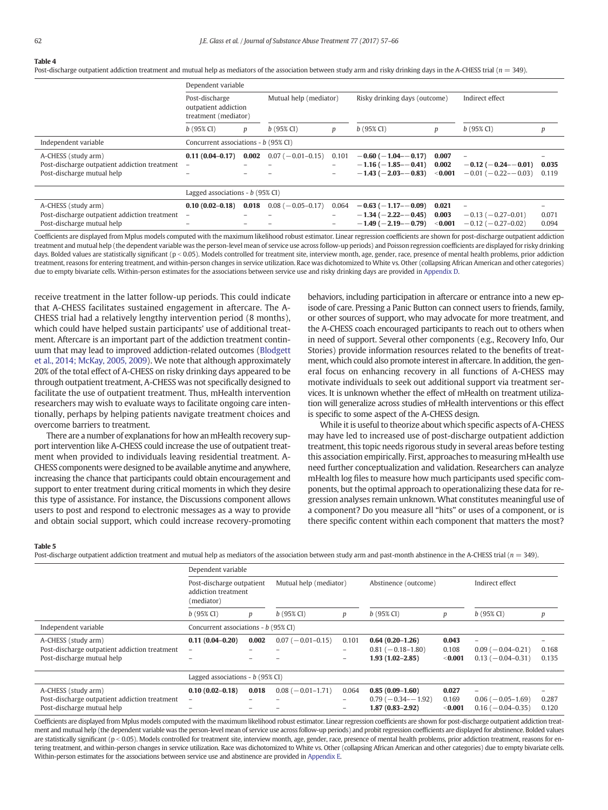# <span id="page-5-0"></span>Table 4

Post-discharge outpatient addiction treatment and mutual help as mediators of the association between study arm and risky drinking days in the A-CHESS trial ( $n = 349$ ).

|                                                                                                    |                                                                | Dependent variable |                         |                                        |                                                                                 |                             |                                                                                         |                |
|----------------------------------------------------------------------------------------------------|----------------------------------------------------------------|--------------------|-------------------------|----------------------------------------|---------------------------------------------------------------------------------|-----------------------------|-----------------------------------------------------------------------------------------|----------------|
|                                                                                                    | Post-discharge<br>outpatient addiction<br>treatment (mediator) |                    | Mutual help (mediator)  |                                        | Risky drinking days (outcome)                                                   |                             | Indirect effect                                                                         |                |
|                                                                                                    | $b(95\% \text{ CI})$                                           | p                  | $b(95\% \, \text{Cl})$  | р                                      | $b(95\% \text{ CI})$                                                            | p                           | $b(95\% \, \text{CI})$                                                                  | р              |
| Independent variable                                                                               | Concurrent associations - b (95% CI)                           |                    |                         |                                        |                                                                                 |                             |                                                                                         |                |
| A-CHESS (study arm)<br>Post-discharge outpatient addiction treatment<br>Post-discharge mutual help | $0.11(0.04 - 0.17)$                                            | 0.002              | $0.07 (-0.01 - 0.15)$   | 0.101<br>-<br>$\overline{\phantom{0}}$ | $-0.60$ ( $-1.04 - 0.17$ )<br>$-1.16(-1.85 - -0.41)$<br>$-1.43(-2.03 - 0.83)$   | 0.007<br>0.002<br>$<$ 0.001 | $\overline{\phantom{0}}$<br>$-0.12$ ( $-0.24 - 0.01$ )<br>$-0.01$ ( $-0.22$ - $-0.03$ ) | 0.035<br>0.119 |
|                                                                                                    | Lagged associations - $b$ (95% CI)                             |                    |                         |                                        |                                                                                 |                             |                                                                                         |                |
| A-CHESS (study arm)<br>Post-discharge outpatient addiction treatment<br>Post-discharge mutual help | $0.10(0.02 - 0.18)$<br>$\overline{\phantom{0}}$                | 0.018              | $0.08$ ( $-0.05-0.17$ ) | 0.064<br>-                             | $-0.63$ ( $-1.17$ - $-0.09$ )<br>$-1.34(-2.22 - 0.45)$<br>$-1.49(-2.19 - 0.79)$ | 0.021<br>0.003<br>$<$ 0.001 | $-0.13(-0.27-0.01)$<br>$-0.12$ ( $-0.27-0.02$ )                                         | 0.071<br>0.094 |

Coefficients are displayed from Mplus models computed with the maximum likelihood robust estimator. Linear regression coefficients are shown for post-discharge outpatient addiction treatment and mutual help (the dependent variable was the person-level mean of service use across follow-up periods) and Poisson regression coefficients are displayed for risky drinking days. Bolded values are statistically significant ( $p < 0.05$ ). Models controlled for treatment site, interview month, age, gender, race, presence of mental health problems, prior addiction treatment, reasons for entering treatment, and within-person changes in service utilization. Race was dichotomized to White vs. Other (collapsing African American and other categories) due to empty bivariate cells. Within-person estimates for the associations between service use and risky drinking days are provided in [Appendix D.](#page-8-0)

receive treatment in the latter follow-up periods. This could indicate that A-CHESS facilitates sustained engagement in aftercare. The A-CHESS trial had a relatively lengthy intervention period (8 months), which could have helped sustain participants' use of additional treatment. Aftercare is an important part of the addiction treatment continuum that may lead to improved addiction-related outcomes ([Blodgett](#page-9-0) [et al., 2014; McKay, 2005, 2009\)](#page-9-0). We note that although approximately 20% of the total effect of A-CHESS on risky drinking days appeared to be through outpatient treatment, A-CHESS was not specifically designed to facilitate the use of outpatient treatment. Thus, mHealth intervention researchers may wish to evaluate ways to facilitate ongoing care intentionally, perhaps by helping patients navigate treatment choices and overcome barriers to treatment.

There are a number of explanations for how an mHealth recovery support intervention like A-CHESS could increase the use of outpatient treatment when provided to individuals leaving residential treatment. A-CHESS components were designed to be available anytime and anywhere, increasing the chance that participants could obtain encouragement and support to enter treatment during critical moments in which they desire this type of assistance. For instance, the Discussions component allows users to post and respond to electronic messages as a way to provide and obtain social support, which could increase recovery-promoting behaviors, including participation in aftercare or entrance into a new episode of care. Pressing a Panic Button can connect users to friends, family, or other sources of support, who may advocate for more treatment, and the A-CHESS coach encouraged participants to reach out to others when in need of support. Several other components (e.g., Recovery Info, Our Stories) provide information resources related to the benefits of treatment, which could also promote interest in aftercare. In addition, the general focus on enhancing recovery in all functions of A-CHESS may motivate individuals to seek out additional support via treatment services. It is unknown whether the effect of mHealth on treatment utilization will generalize across studies of mHealth interventions or this effect is specific to some aspect of the A-CHESS design.

While it is useful to theorize about which specific aspects of A-CHESS may have led to increased use of post-discharge outpatient addiction treatment, this topic needs rigorous study in several areas before testing this association empirically. First, approaches to measuring mHealth use need further conceptualization and validation. Researchers can analyze mHealth log files to measure how much participants used specific components, but the optimal approach to operationalizing these data for regression analyses remain unknown. What constitutes meaningful use of a component? Do you measure all "hits" or uses of a component, or is there specific content within each component that matters the most?

### Table 5

Post-discharge outpatient addiction treatment and mutual help as mediators of the association between study arm and past-month abstinence in the A-CHESS trial ( $n = 349$ ).

|                                                                                                    | Dependent variable                                             |       |                        |                                               |                                                                   |                             |                                                                         |                |
|----------------------------------------------------------------------------------------------------|----------------------------------------------------------------|-------|------------------------|-----------------------------------------------|-------------------------------------------------------------------|-----------------------------|-------------------------------------------------------------------------|----------------|
|                                                                                                    | Post-discharge outpatient<br>addiction treatment<br>(mediator) |       | Mutual help (mediator) |                                               | Abstinence (outcome)                                              |                             | Indirect effect                                                         |                |
|                                                                                                    | $b(95\% \text{ CI})$                                           | p     | $b(95\% \text{ CI})$   | p                                             | $b(95\% \text{ CI})$                                              | p                           | $b(95\% \text{ CI})$                                                    | р              |
| Independent variable                                                                               | Concurrent associations - b (95% CI)                           |       |                        |                                               |                                                                   |                             |                                                                         |                |
| A-CHESS (study arm)<br>Post-discharge outpatient addiction treatment<br>Post-discharge mutual help | $0.11(0.04 - 0.20)$                                            | 0.002 | $0.07 (-0.01 - 0.15)$  | 0.101<br>$-$                                  | $0.64(0.20-1.26)$<br>$0.81 (-0.18 - 1.80)$<br>$1.93(1.02 - 2.85)$ | 0.043<br>0.108<br>< 0.001   | $\overline{\phantom{0}}$<br>$0.09(-0.04-0.21)$<br>$0.13 (-0.04 - 0.31)$ | 0.168<br>0.135 |
|                                                                                                    | Lagged associations - $b$ (95% CI)                             |       |                        |                                               |                                                                   |                             |                                                                         |                |
| A-CHESS (study arm)<br>Post-discharge outpatient addiction treatment<br>Post-discharge mutual help | $0.10(0.02 - 0.18)$<br>$\overline{\phantom{0}}$                | 0.018 | $0.08 (-0.01 - 1.71)$  | 0.064<br>$\overline{\phantom{0}}$<br>$\equiv$ | $0.85(0.09-1.60)$<br>$0.79(-0.34 - 1.92)$<br>$1.87(0.83 - 2.92)$  | 0.027<br>0.169<br>$<$ 0.001 | $0.06(-0.05-1.69)$<br>$0.16(-0.04-0.35)$                                | 0.287<br>0.120 |

Coefficients are displayed from Mplus models computed with the maximum likelihood robust estimator. Linear regression coefficients are shown for post-discharge outpatient addiction treatment and mutual help (the dependent variable was the person-level mean of service use across follow-up periods) and probit regression coefficients are displayed for abstinence. Bolded values are statistically significant  $(p < 0.05)$ . Models controlled for treatment site, interview month, age, gender, race, presence of mental health problems, prior addiction treatment, reasons for entering treatment, and within-person changes in service utilization. Race was dichotomized to White vs. Other (collapsing African American and other categories) due to empty bivariate cells. Within-person estimates for the associations between service use and abstinence are provided in [Appendix E](#page-8-0).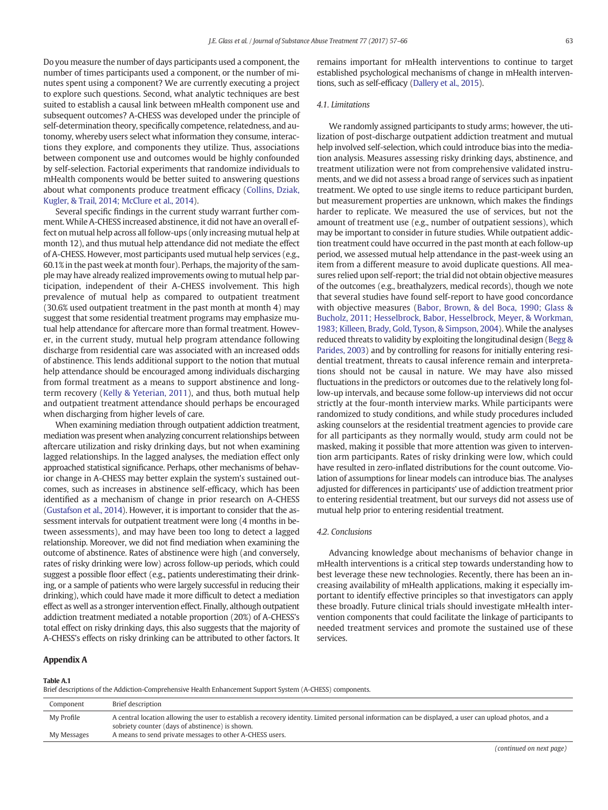<span id="page-6-0"></span>Do you measure the number of days participants used a component, the number of times participants used a component, or the number of minutes spent using a component? We are currently executing a project to explore such questions. Second, what analytic techniques are best suited to establish a causal link between mHealth component use and subsequent outcomes? A-CHESS was developed under the principle of self-determination theory, specifically competence, relatedness, and autonomy, whereby users select what information they consume, interactions they explore, and components they utilize. Thus, associations between component use and outcomes would be highly confounded by self-selection. Factorial experiments that randomize individuals to mHealth components would be better suited to answering questions about what components produce treatment efficacy ([Collins, Dziak,](#page-9-0) [Kugler, & Trail, 2014; McClure et al., 2014\)](#page-9-0).

Several specific findings in the current study warrant further comment. While A-CHESS increased abstinence, it did not have an overall effect on mutual help across all follow-ups (only increasing mutual help at month 12), and thus mutual help attendance did not mediate the effect of A-CHESS. However, most participants used mutual help services (e.g., 60.1% in the past week at month four). Perhaps, the majority of the sample may have already realized improvements owing to mutual help participation, independent of their A-CHESS involvement. This high prevalence of mutual help as compared to outpatient treatment (30.6% used outpatient treatment in the past month at month 4) may suggest that some residential treatment programs may emphasize mutual help attendance for aftercare more than formal treatment. However, in the current study, mutual help program attendance following discharge from residential care was associated with an increased odds of abstinence. This lends additional support to the notion that mutual help attendance should be encouraged among individuals discharging from formal treatment as a means to support abstinence and longterm recovery [\(Kelly & Yeterian, 2011](#page-9-0)), and thus, both mutual help and outpatient treatment attendance should perhaps be encouraged when discharging from higher levels of care.

When examining mediation through outpatient addiction treatment, mediation was present when analyzing concurrent relationships between aftercare utilization and risky drinking days, but not when examining lagged relationships. In the lagged analyses, the mediation effect only approached statistical significance. Perhaps, other mechanisms of behavior change in A-CHESS may better explain the system's sustained outcomes, such as increases in abstinence self-efficacy, which has been identified as a mechanism of change in prior research on A-CHESS [\(Gustafson et al., 2014\)](#page-9-0). However, it is important to consider that the assessment intervals for outpatient treatment were long (4 months in between assessments), and may have been too long to detect a lagged relationship. Moreover, we did not find mediation when examining the outcome of abstinence. Rates of abstinence were high (and conversely, rates of risky drinking were low) across follow-up periods, which could suggest a possible floor effect (e.g., patients underestimating their drinking, or a sample of patients who were largely successful in reducing their drinking), which could have made it more difficult to detect a mediation effect as well as a stronger intervention effect. Finally, although outpatient addiction treatment mediated a notable proportion (20%) of A-CHESS's total effect on risky drinking days, this also suggests that the majority of A-CHESS's effects on risky drinking can be attributed to other factors. It

# remains important for mHealth interventions to continue to target established psychological mechanisms of change in mHealth interventions, such as self-efficacy [\(Dallery et al., 2015](#page-9-0)).

### 4.1. Limitations

We randomly assigned participants to study arms; however, the utilization of post-discharge outpatient addiction treatment and mutual help involved self-selection, which could introduce bias into the mediation analysis. Measures assessing risky drinking days, abstinence, and treatment utilization were not from comprehensive validated instruments, and we did not assess a broad range of services such as inpatient treatment. We opted to use single items to reduce participant burden, but measurement properties are unknown, which makes the findings harder to replicate. We measured the use of services, but not the amount of treatment use (e.g., number of outpatient sessions), which may be important to consider in future studies. While outpatient addiction treatment could have occurred in the past month at each follow-up period, we assessed mutual help attendance in the past-week using an item from a different measure to avoid duplicate questions. All measures relied upon self-report; the trial did not obtain objective measures of the outcomes (e.g., breathalyzers, medical records), though we note that several studies have found self-report to have good concordance with objective measures ([Babor, Brown, & del Boca, 1990; Glass &](#page-9-0) [Bucholz, 2011; Hesselbrock, Babor, Hesselbrock, Meyer, & Workman,](#page-9-0) [1983; Killeen, Brady, Gold, Tyson, & Simpson, 2004](#page-9-0)). While the analyses reduced threats to validity by exploiting the longitudinal design [\(Begg &](#page-9-0) [Parides, 2003](#page-9-0)) and by controlling for reasons for initially entering residential treatment, threats to causal inference remain and interpretations should not be causal in nature. We may have also missed fluctuations in the predictors or outcomes due to the relatively long follow-up intervals, and because some follow-up interviews did not occur strictly at the four-month interview marks. While participants were randomized to study conditions, and while study procedures included asking counselors at the residential treatment agencies to provide care for all participants as they normally would, study arm could not be masked, making it possible that more attention was given to intervention arm participants. Rates of risky drinking were low, which could have resulted in zero-inflated distributions for the count outcome. Violation of assumptions for linear models can introduce bias. The analyses adjusted for differences in participants' use of addiction treatment prior to entering residential treatment, but our surveys did not assess use of mutual help prior to entering residential treatment.

# 4.2. Conclusions

Advancing knowledge about mechanisms of behavior change in mHealth interventions is a critical step towards understanding how to best leverage these new technologies. Recently, there has been an increasing availability of mHealth applications, making it especially important to identify effective principles so that investigators can apply these broadly. Future clinical trials should investigate mHealth intervention components that could facilitate the linkage of participants to needed treatment services and promote the sustained use of these services.

#### Appendix A

#### Table A.1

Brief descriptions of the Addiction-Comprehensive Health Enhancement Support System (A-CHESS) components.

| Component   | Brief description                                                                                                                                     |
|-------------|-------------------------------------------------------------------------------------------------------------------------------------------------------|
| My Profile  | A central location allowing the user to establish a recovery identity. Limited personal information can be displayed, a user can upload photos, and a |
|             | sobriety counter (days of abstinence) is shown.                                                                                                       |
| My Messages | A means to send private messages to other A-CHESS users.                                                                                              |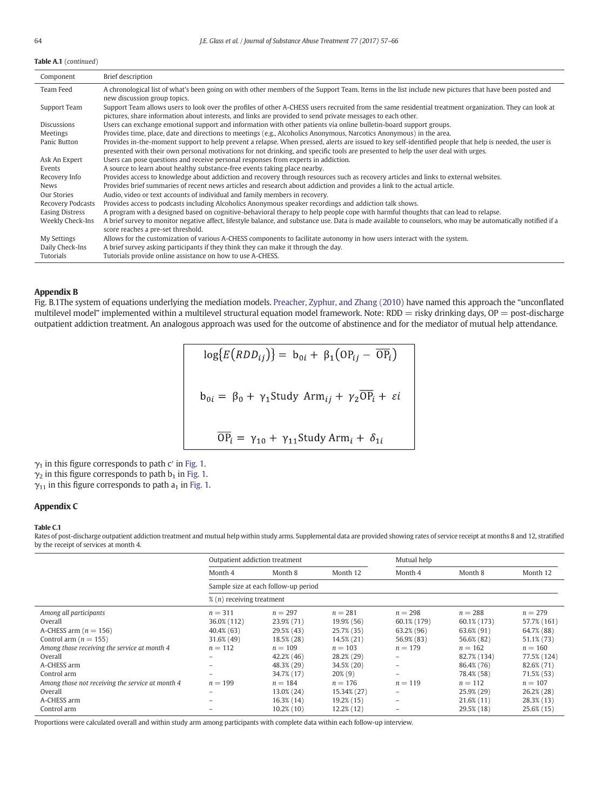# <span id="page-7-0"></span>Table A.1 (continued)

| Component              | Brief description                                                                                                                                                                                                                                                                              |
|------------------------|------------------------------------------------------------------------------------------------------------------------------------------------------------------------------------------------------------------------------------------------------------------------------------------------|
| Team Feed              | A chronological list of what's been going on with other members of the Support Team. Items in the list include new pictures that have been posted and<br>new discussion group topics.                                                                                                          |
| Support Team           | Support Team allows users to look over the profiles of other A-CHESS users recruited from the same residential treatment organization. They can look at<br>pictures, share information about interests, and links are provided to send private messages to each other.                         |
| <b>Discussions</b>     | Users can exchange emotional support and information with other patients via online bulletin-board support groups.                                                                                                                                                                             |
| Meetings               | Provides time, place, date and directions to meetings (e.g., Alcoholics Anonymous, Narcotics Anonymous) in the area.                                                                                                                                                                           |
| Panic Button           | Provides in-the-moment support to help prevent a relapse. When pressed, alerts are issued to key self-identified people that help is needed, the user is<br>presented with their own personal motivations for not drinking, and specific tools are presented to help the user deal with urges. |
| Ask An Expert          | Users can pose questions and receive personal responses from experts in addiction.                                                                                                                                                                                                             |
| Events                 | A source to learn about healthy substance-free events taking place nearby.                                                                                                                                                                                                                     |
| Recovery Info          | Provides access to knowledge about addiction and recovery through resources such as recovery articles and links to external websites.                                                                                                                                                          |
| <b>News</b>            | Provides brief summaries of recent news articles and research about addiction and provides a link to the actual article.                                                                                                                                                                       |
| Our Stories            | Audio, video or text accounts of individual and family members in recovery.                                                                                                                                                                                                                    |
| Recovery Podcasts      | Provides access to podcasts including Alcoholics Anonymous speaker recordings and addiction talk shows.                                                                                                                                                                                        |
| <b>Easing Distress</b> | A program with a designed based on cognitive-behavioral therapy to help people cope with harmful thoughts that can lead to relapse.                                                                                                                                                            |
| Weekly Check-Ins       | A brief survey to monitor negative affect, lifestyle balance, and substance use. Data is made available to counselors, who may be automatically notified if a<br>score reaches a pre-set threshold.                                                                                            |
| My Settings            | Allows for the customization of various A-CHESS components to facilitate autonomy in how users interact with the system.                                                                                                                                                                       |
| Daily Check-Ins        | A brief survey asking participants if they think they can make it through the day.                                                                                                                                                                                                             |
| Tutorials              | Tutorials provide online assistance on how to use A-CHESS.                                                                                                                                                                                                                                     |

# Appendix B

Fig. B.1The system of equations underlying the mediation models. [Preacher, Zyphur, and Zhang \(2010\)](#page-9-0) have named this approach the "unconflated multilevel model" implemented within a multilevel structural equation model framework. Note: RDD = risky drinking days, OP = post-discharge outpatient addiction treatment. An analogous approach was used for the outcome of abstinence and for the mediator of mutual help attendance.

$$
\log\{E(RDD_{ij})\} = b_{0i} + \beta_1 (OP_{ij} - \overline{OP}_i)
$$
  

$$
b_{0i} = \beta_0 + \gamma_1 \text{Study Arm}_{ij} + \gamma_2 \overline{OP}_i + \varepsilon i
$$
  

$$
\overline{OP}_i = \gamma_{10} + \gamma_{11} \text{Study Arm}_i + \delta_{1i}
$$

 $\gamma_1$  in this figure corresponds to path c' in [Fig. 1](#page-3-0).

 $\gamma_2$  in this figure corresponds to path  $b_1$  in [Fig. 1.](#page-3-0)

 $\gamma_{11}$  in this figure corresponds to path  $a_1$  in [Fig. 1.](#page-3-0)

# Appendix C

# Table C.1

Rates of post-discharge outpatient addiction treatment and mutual help within study arms. Supplemental data are provided showing rates of service receipt at months 8 and 12, stratified by the receipt of services at month 4.

|                                                  | Outpatient addiction treatment       |                                      |               | Mutual help              |               |               |
|--------------------------------------------------|--------------------------------------|--------------------------------------|---------------|--------------------------|---------------|---------------|
|                                                  | Month 4                              | Month 8                              | Month 12      | Month 4                  | Month 8       | Month 12      |
|                                                  |                                      | Sample size at each follow-up period |               |                          |               |               |
|                                                  | $\mathcal{X}(n)$ receiving treatment |                                      |               |                          |               |               |
| Among all participants                           | $n = 311$                            | $n = 297$                            | $n = 281$     | $n = 298$                | $n = 288$     | $n = 279$     |
| Overall                                          | 36.0% (112)                          | 23.9% (71)                           | 19.9% (56)    | 60.1% (179)              | 60.1% (173)   | 57.7% (161)   |
| A-CHESS arm $(n = 156)$                          | 40.4% (63)                           | 29.5% (43)                           | 25.7% (35)    | 63.2% (96)               | 63.6% (91)    | 64.7% (88)    |
| Control arm ( $n = 155$ )                        | 31.6% (49)                           | 18.5% (28)                           | 14.5% (21)    | 56.9% (83)               | 56.6% (82)    | 51.1% (73)    |
| Among those receiving the service at month 4     | $n = 112$                            | $n = 109$                            | $n = 103$     | $n = 179$                | $n = 162$     | $n = 160$     |
| Overall                                          |                                      | $42.2\%$ (46)                        | 28.2% (29)    | $\qquad \qquad =$        | 82.7% (134)   | 77.5% (124)   |
| A-CHESS arm                                      |                                      | 48.3% (29)                           | 34.5% (20)    | $\overline{\phantom{0}}$ | 86.4% (76)    | 82.6% (71)    |
| Control arm                                      |                                      | 34.7% (17)                           | $20\%$ (9)    | $\overline{\phantom{0}}$ | 78.4% (58)    | 71.5% (53)    |
| Among those not receiving the service at month 4 | $n = 199$                            | $n = 184$                            | $n = 176$     | $n = 119$                | $n = 112$     | $n = 107$     |
| Overall                                          |                                      | 13.0% (24)                           | 15.34% (27)   | $\qquad \qquad -$        | 25.9% (29)    | $26.2\%$ (28) |
| A-CHESS arm                                      |                                      | 16.3% (14)                           | $19.2\%$ (15) | $\qquad \qquad -$        | $21.6\%$ (11) | 28.3% (13)    |
| Control arm                                      |                                      | $10.2\%$ (10)                        | 12.2% (12)    |                          | 29.5% (18)    | 25.6% (15)    |

Proportions were calculated overall and within study arm among participants with complete data within each follow-up interview.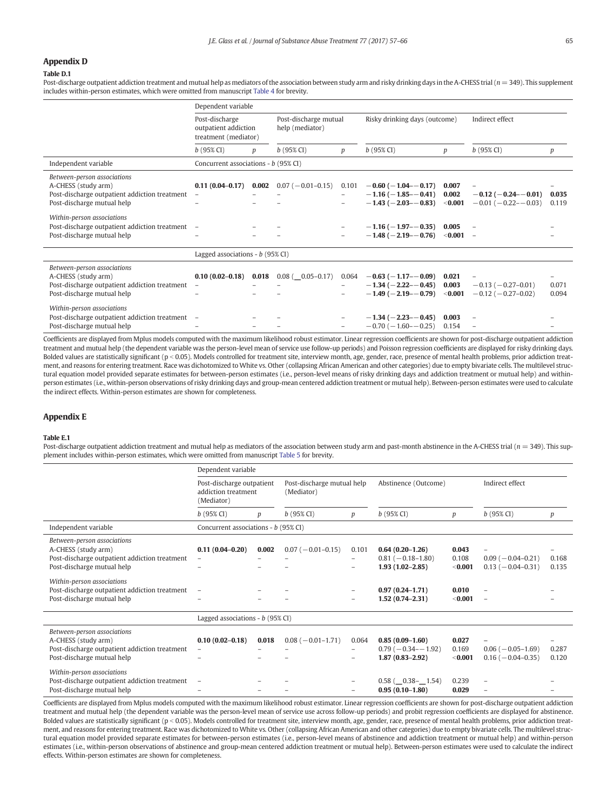# <span id="page-8-0"></span>Appendix D

#### Table D.1

Post-discharge outpatient addiction treatment and mutual help as mediators of the association between study arm and risky drinking days in the A-CHESS trial ( $n = 349$ ). This supplement includes within-person estimates, which were omitted from manuscript [Table 4](#page-5-0) for brevity.

|                                                                                                                                                                                                                                                  | Dependent variable                                             |       |                                          |                                                                                           |                                                                                                                                                       |                                                     |                                                     |                |
|--------------------------------------------------------------------------------------------------------------------------------------------------------------------------------------------------------------------------------------------------|----------------------------------------------------------------|-------|------------------------------------------|-------------------------------------------------------------------------------------------|-------------------------------------------------------------------------------------------------------------------------------------------------------|-----------------------------------------------------|-----------------------------------------------------|----------------|
|                                                                                                                                                                                                                                                  | Post-discharge<br>outpatient addiction<br>treatment (mediator) |       | Post-discharge mutual<br>help (mediator) |                                                                                           | Risky drinking days (outcome)                                                                                                                         |                                                     | Indirect effect                                     |                |
|                                                                                                                                                                                                                                                  | $b(95\% \, \text{CI})$                                         | p     | $b(95\% \text{ CI})$                     | $\boldsymbol{p}$                                                                          | $b(95\% \text{ CI})$                                                                                                                                  | p                                                   | $b(95\% \, \text{CI})$                              | р              |
| Independent variable                                                                                                                                                                                                                             | Concurrent associations - b (95% CI)                           |       |                                          |                                                                                           |                                                                                                                                                       |                                                     |                                                     |                |
| Between-person associations<br>A-CHESS (study arm)<br>Post-discharge outpatient addiction treatment<br>Post-discharge mutual help<br>Within-person associations<br>Post-discharge outpatient addiction treatment -<br>Post-discharge mutual help | $0.11(0.04 - 0.17)$<br>$\overline{\phantom{a}}$                | 0.002 | $0.07 (-0.01 - 0.15)$                    | 0.101<br>$\overline{\phantom{0}}$<br>$\overline{\phantom{m}}$<br>$\overline{\phantom{m}}$ | $-0.60$ ( $-1.04 - 0.17$ )<br>$-1.16(-1.85 - -0.41)$<br>$-1.43$ ( $-2.03 - -0.83$ )<br>$-1.16$ ( $-1.97$ - $-0.35$ )<br>$-1.48$ ( $-2.19$ - $-0.76$ ) | 0.007<br>0.002<br>$<$ 0.001<br>0.005<br>$< 0.001 -$ | $-0.12$ ( $-0.24 - 0.01$ )<br>$-0.01(-0.22 - 0.03)$ | 0.035<br>0.119 |
|                                                                                                                                                                                                                                                  | Lagged associations - $b$ (95% CI)                             |       |                                          |                                                                                           |                                                                                                                                                       |                                                     |                                                     |                |
| Between-person associations<br>A-CHESS (study arm)<br>Post-discharge outpatient addiction treatment<br>Post-discharge mutual help                                                                                                                | $0.10(0.02 - 0.18)$                                            | 0.018 | $0.08$ ( $-0.05 - 0.17$ )                | 0.064<br>-                                                                                | $-0.63$ ( $-1.17$ - $-0.09$ )<br>$-1.34$ ( $-2.22$ $-0.45$ )<br>$-1.49(-2.19 - -0.79)$                                                                | 0.021<br>0.003<br>$<$ 0.001                         | $-0.13(-0.27-0.01)$<br>$-0.12$ ( $-0.27-0.02$ )     | 0.071<br>0.094 |
| Within-person associations<br>Post-discharge outpatient addiction treatment -<br>Post-discharge mutual help                                                                                                                                      |                                                                |       |                                          |                                                                                           | $-1.34$ ( $-2.23$ - $-0.45$ )<br>$-0.70(-1.60 - 0.25)$                                                                                                | 0.003<br>0.154                                      |                                                     |                |

Coefficients are displayed from Mplus models computed with the maximum likelihood robust estimator. Linear regression coefficients are shown for post-discharge outpatient addiction treatment and mutual help (the dependent variable was the person-level mean of service use follow-up periods) and Poisson regression coefficients are displayed for risky drinking days. Bolded values are statistically significant (p < 0.05). Models controlled for treatment site, interview month, age, gender, race, presence of mental health problems, prior addiction treatment, and reasons for entering treatment. Race was dichotomized to White vs. Other (collapsing African American and other categories) due to empty bivariate cells. The multilevel structural equation model provided separate estimates for between-person estimates (i.e., person-level means of risky drinking days and addiction treatment or mutual help) and withinperson estimates (i.e., within-person observations of risky drinking days and group-mean centered addiction treatment or mutual help). Between-person estimates were used to calculate the indirect effects. Within-person estimates are shown for completeness.

# Appendix E

Post-discharge mutual help – – – – −0.70 (−1.60–−0.25) 0.154 – –

#### Table E.1

Post-discharge outpatient addiction treatment and mutual help as mediators of the association between study arm and past-month abstinence in the A-CHESS trial ( $n = 349$ ). This supplement includes within-person estimates, which were omitted from manuscript [Table 5](#page-5-0) for brevity.

|                                                                                                                                   | Dependent variable                                             |       |                                          |                                                               |                                                                   |                           |                                                                         |                |
|-----------------------------------------------------------------------------------------------------------------------------------|----------------------------------------------------------------|-------|------------------------------------------|---------------------------------------------------------------|-------------------------------------------------------------------|---------------------------|-------------------------------------------------------------------------|----------------|
|                                                                                                                                   | Post-discharge outpatient<br>addiction treatment<br>(Mediator) |       | Post-discharge mutual help<br>(Mediator) |                                                               | Abstinence (Outcome)                                              |                           | Indirect effect                                                         |                |
|                                                                                                                                   | $b(95\% \text{ CI})$                                           | p     | $b(95\% \text{ CI})$                     | p                                                             | $b(95\% \text{ CI})$                                              | p                         | $b(95\% \text{ CI})$                                                    | p              |
| Independent variable                                                                                                              | Concurrent associations - b (95% CI)                           |       |                                          |                                                               |                                                                   |                           |                                                                         |                |
| Between-person associations<br>A-CHESS (study arm)<br>Post-discharge outpatient addiction treatment<br>Post-discharge mutual help | $0.11(0.04 - 0.20)$                                            | 0.002 | $0.07 (-0.01 - 0.15)$                    | 0.101<br>$\overline{\phantom{m}}$<br>$\overline{\phantom{m}}$ | $0.64(0.20-1.26)$<br>$0.81 (-0.18 - 1.80)$<br>$1.93(1.02 - 2.85)$ | 0.043<br>0.108<br>< 0.001 | $\overline{\phantom{m}}$<br>$0.09(-0.04-0.21)$<br>$0.13 (-0.04 - 0.31)$ | 0.168<br>0.135 |
| Within-person associations<br>Post-discharge outpatient addiction treatment<br>Post-discharge mutual help                         | $\overline{\phantom{m}}$                                       |       |                                          | $\overline{\phantom{m}}$<br>$\overline{\phantom{m}}$          | $0.97(0.24 - 1.71)$<br>$1.52(0.74 - 2.31)$                        | 0.010<br>< 0.001          |                                                                         |                |
|                                                                                                                                   | Lagged associations - $b$ (95% CI)                             |       |                                          |                                                               |                                                                   |                           |                                                                         |                |
| Between-person associations<br>A-CHESS (study arm)<br>Post-discharge outpatient addiction treatment<br>Post-discharge mutual help | $0.10(0.02 - 0.18)$                                            | 0.018 | $0.08(-0.01-1.71)$                       | 0.064<br>$\overline{\phantom{m}}$<br>$\overline{\phantom{m}}$ | $0.85(0.09-1.60)$<br>$0.79(-0.34 - 1.92)$<br>$1.87(0.83 - 2.92)$  | 0.027<br>0.169<br>< 0.001 | $0.06$ ( $-0.05-1.69$ )<br>$0.16 (-0.04 - 0.35)$                        | 0.287<br>0.120 |
| Within-person associations<br>Post-discharge outpatient addiction treatment<br>Post-discharge mutual help                         | $\overline{\phantom{m}}$                                       |       |                                          | $\overline{\phantom{m}}$                                      | $0.58$ ( $0.38 - 1.54$ )<br>$0.95(0.10-1.80)$                     | 0.239<br>0.029            |                                                                         |                |

Coefficients are displayed from Mplus models computed with the maximum likelihood robust estimator. Linear regression coefficients are shown for post-discharge outpatient addiction treatment and mutual help (the dependent variable was the person-level mean of service use across follow-up periods) and probit regression coefficients are displayed for abstinence. Bolded values are statistically significant (p < 0.05). Models controlled for treatment site, interview month, age, gender, race, presence of mental health problems, prior addiction treatment, and reasons for entering treatment. Race was dichotomized to White vs. Other (collapsing African American and other categories) due to empty bivariate cells. The multilevel structural equation model provided separate estimates for between-person estimates (i.e., person-level means of abstinence and addiction treatment or mutual help) and within-person estimates (i.e., within-person observations of abstinence and group-mean centered addiction treatment or mutual help). Between-person estimates were used to calculate the indirect effects. Within-person estimates are shown for completeness.